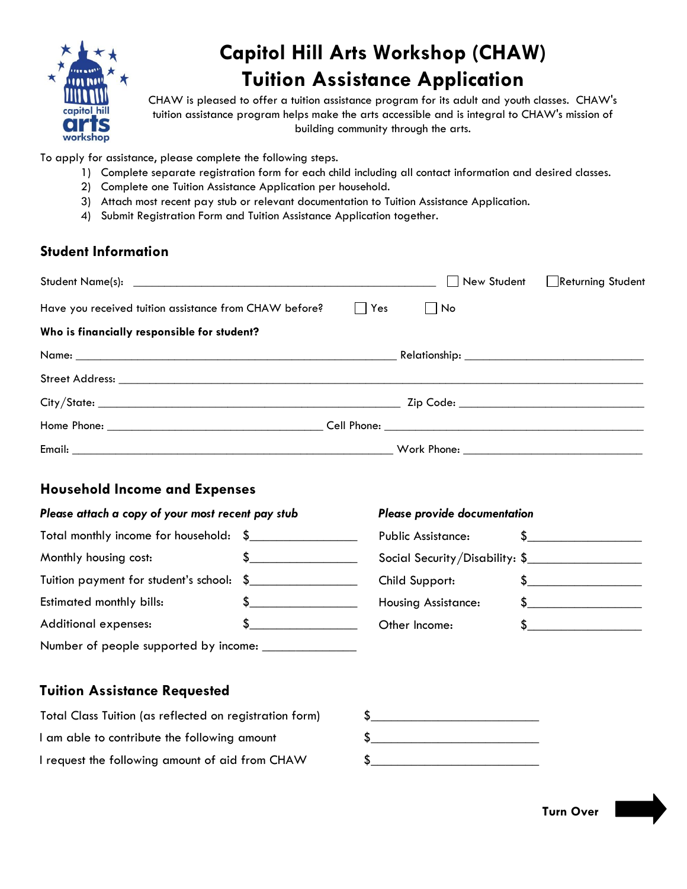

# **Capitol Hill Arts Workshop (CHAW) Tuition Assistance Application**

CHAW is pleased to offer a tuition assistance program for its adult and youth classes. CHAW's tuition assistance program helps make the arts accessible and is integral to CHAW's mission of building community through the arts.

To apply for assistance, please complete the following steps.

- 1) Complete separate registration form for each child including all contact information and desired classes.
- 2) Complete one Tuition Assistance Application per household.
- 3) Attach most recent pay stub or relevant documentation to Tuition Assistance Application.
- 4) Submit Registration Form and Tuition Assistance Application together.

# **Student Information**

|                                                                   |       | New Student Returning Student |
|-------------------------------------------------------------------|-------|-------------------------------|
| Have you received tuition assistance from CHAW before? These Pres | l INo |                               |
| Who is financially responsible for student?                       |       |                               |
|                                                                   |       |                               |
|                                                                   |       |                               |
|                                                                   |       |                               |
|                                                                   |       |                               |
|                                                                   |       |                               |

# **Household Income and Expenses**

| Please attach a copy of your most recent pay stub |  | Please provide documentation   |  |
|---------------------------------------------------|--|--------------------------------|--|
| Total monthly income for household: \$            |  | <b>Public Assistance:</b>      |  |
| Monthly housing cost:                             |  | Social Security/Disability: \$ |  |
| Tuition payment for student's school: \$          |  | Child Support:                 |  |
| Estimated monthly bills:                          |  | <b>Housing Assistance:</b>     |  |
| <b>Additional expenses:</b>                       |  | Other Income:                  |  |
| Number of people supported by income:             |  |                                |  |

# **Tuition Assistance Requested**

| Total Class Tuition (as reflected on registration form) |  |
|---------------------------------------------------------|--|
| I am able to contribute the following amount            |  |
| I request the following amount of aid from CHAW         |  |